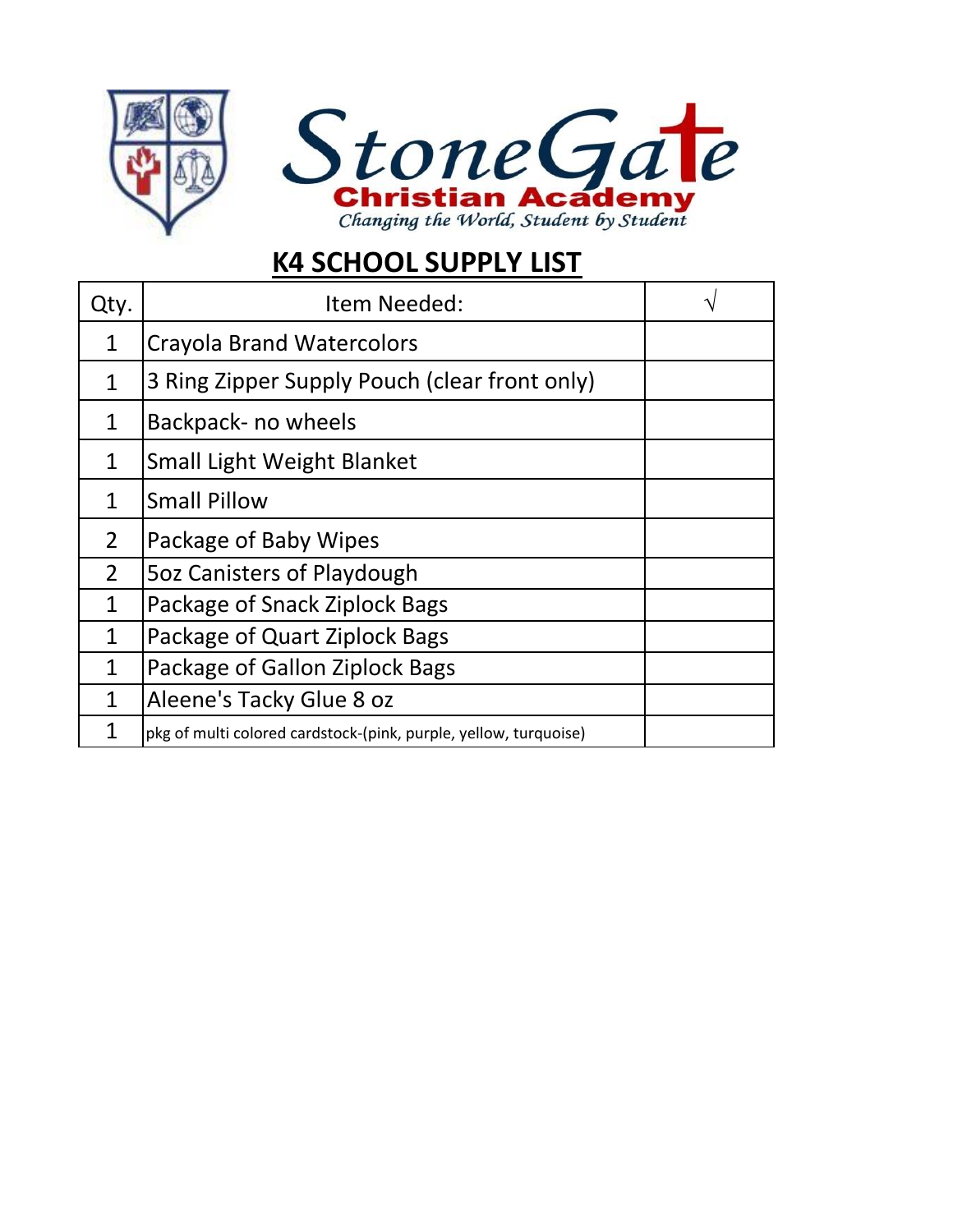



# **K4 SCHOOL SUPPLY LIST**

| Qty.           | Item Needed:                                                     |  |
|----------------|------------------------------------------------------------------|--|
| $\mathbf 1$    | <b>Crayola Brand Watercolors</b>                                 |  |
| 1              | 3 Ring Zipper Supply Pouch (clear front only)                    |  |
| 1              | Backpack- no wheels                                              |  |
| 1              | <b>Small Light Weight Blanket</b>                                |  |
| 1              | <b>Small Pillow</b>                                              |  |
| $\overline{2}$ | Package of Baby Wipes                                            |  |
| $\overline{2}$ | 502 Canisters of Playdough                                       |  |
| $\mathbf 1$    | Package of Snack Ziplock Bags                                    |  |
| 1              | Package of Quart Ziplock Bags                                    |  |
| 1              | Package of Gallon Ziplock Bags                                   |  |
| 1              | Aleene's Tacky Glue 8 oz                                         |  |
| 1              | pkg of multi colored cardstock-(pink, purple, yellow, turquoise) |  |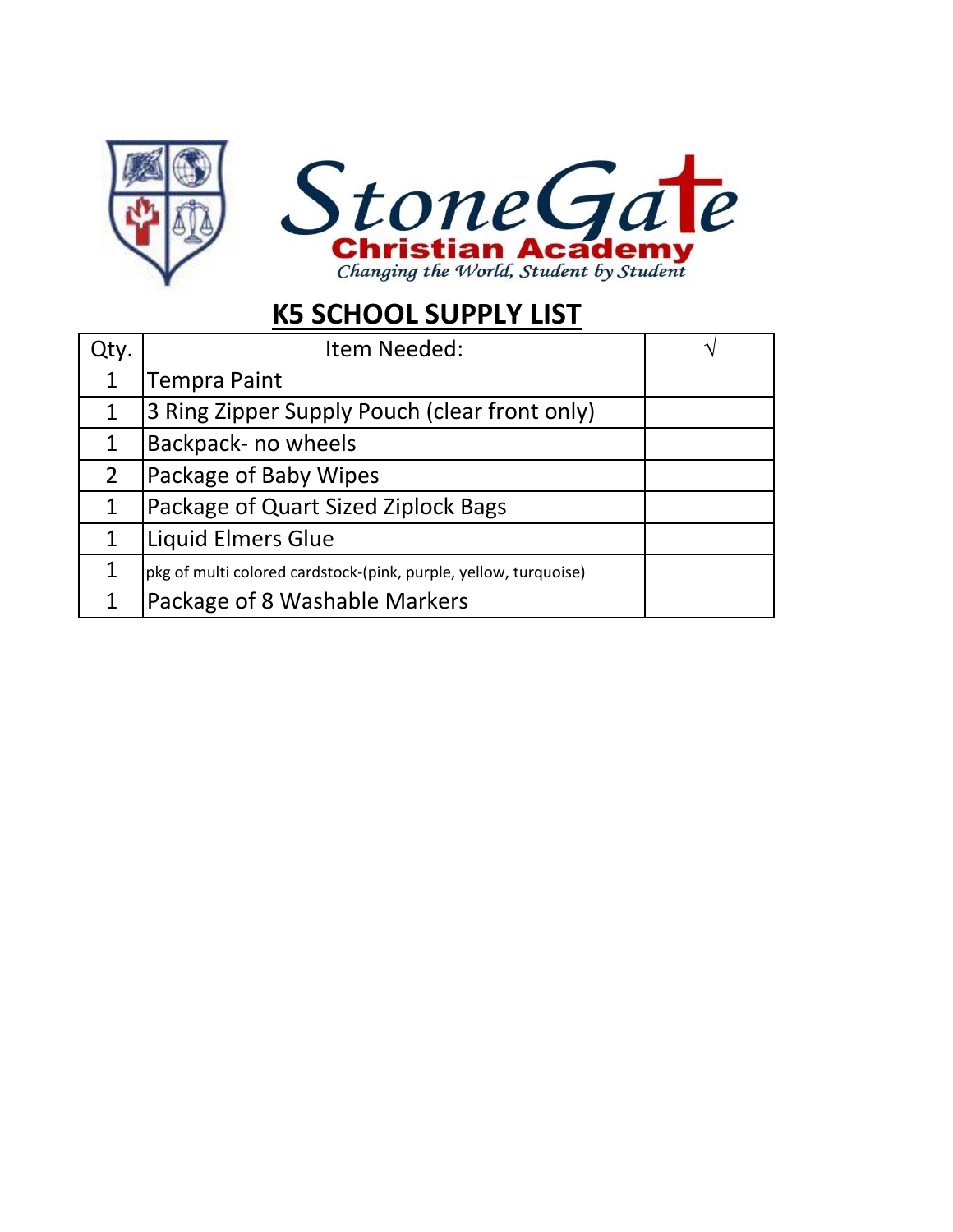



# **K5 SCHOOL SUPPLY LIST**

| Qty.           | Item Needed:                                                     |  |
|----------------|------------------------------------------------------------------|--|
| $\mathbf 1$    | Tempra Paint                                                     |  |
| $\mathbf{1}$   | 3 Ring Zipper Supply Pouch (clear front only)                    |  |
| $\mathbf{1}$   | Backpack- no wheels                                              |  |
| $\overline{2}$ | Package of Baby Wipes                                            |  |
| 1              | Package of Quart Sized Ziplock Bags                              |  |
|                | Liquid Elmers Glue                                               |  |
| 1              | pkg of multi colored cardstock-(pink, purple, yellow, turquoise) |  |
|                | Package of 8 Washable Markers                                    |  |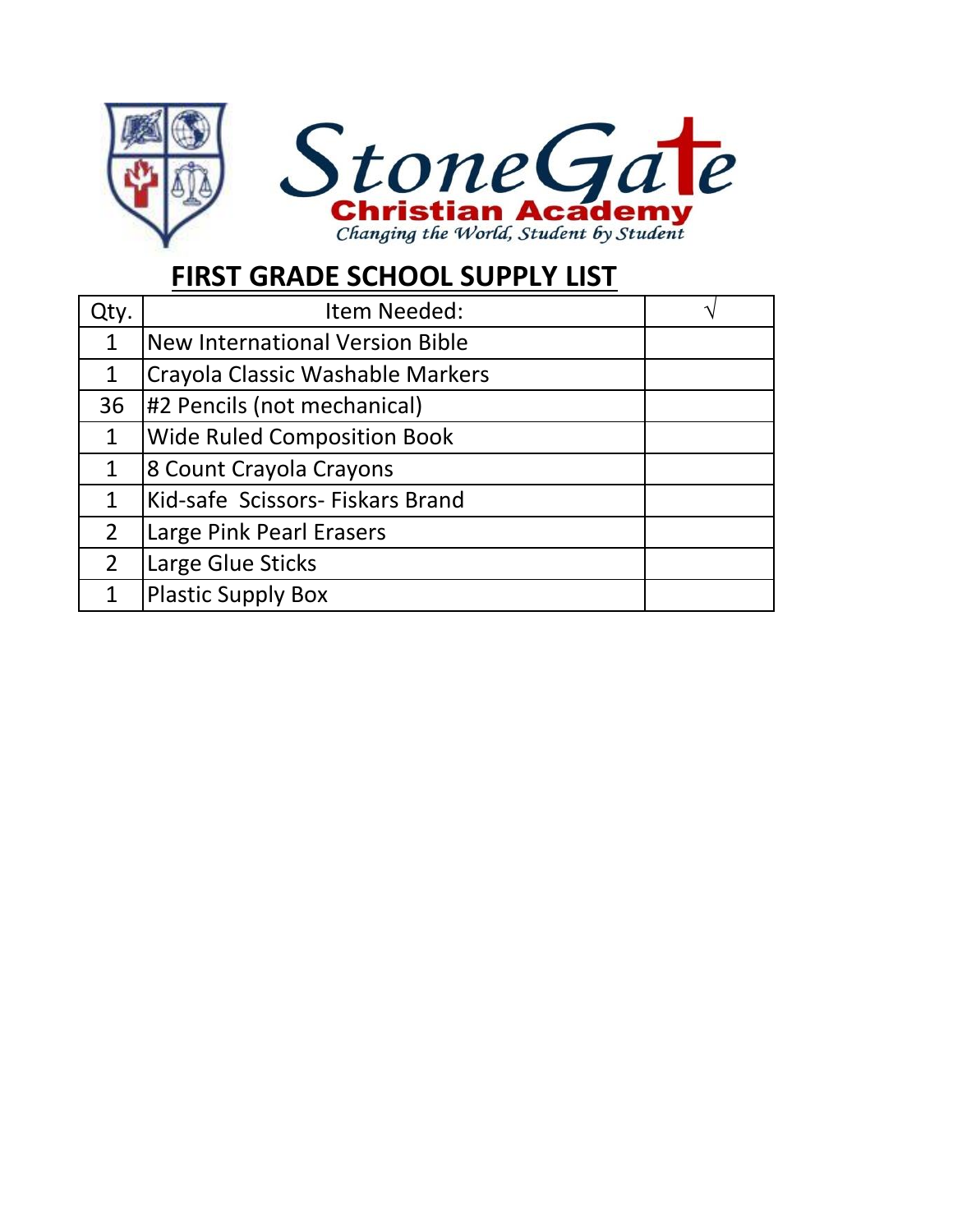

### **FIRST GRADE SCHOOL SUPPLY LIST**

| Qty.           | Item Needed:                           |  |
|----------------|----------------------------------------|--|
| $\mathbf{1}$   | <b>New International Version Bible</b> |  |
| $\mathbf{1}$   | Crayola Classic Washable Markers       |  |
| 36             | #2 Pencils (not mechanical)            |  |
| $\mathbf{1}$   | <b>Wide Ruled Composition Book</b>     |  |
| $\mathbf{1}$   | 8 Count Crayola Crayons                |  |
| $\mathbf{1}$   | Kid-safe Scissors- Fiskars Brand       |  |
| $\overline{2}$ | <b>Large Pink Pearl Erasers</b>        |  |
| $\overline{2}$ | Large Glue Sticks                      |  |
| 1              | <b>Plastic Supply Box</b>              |  |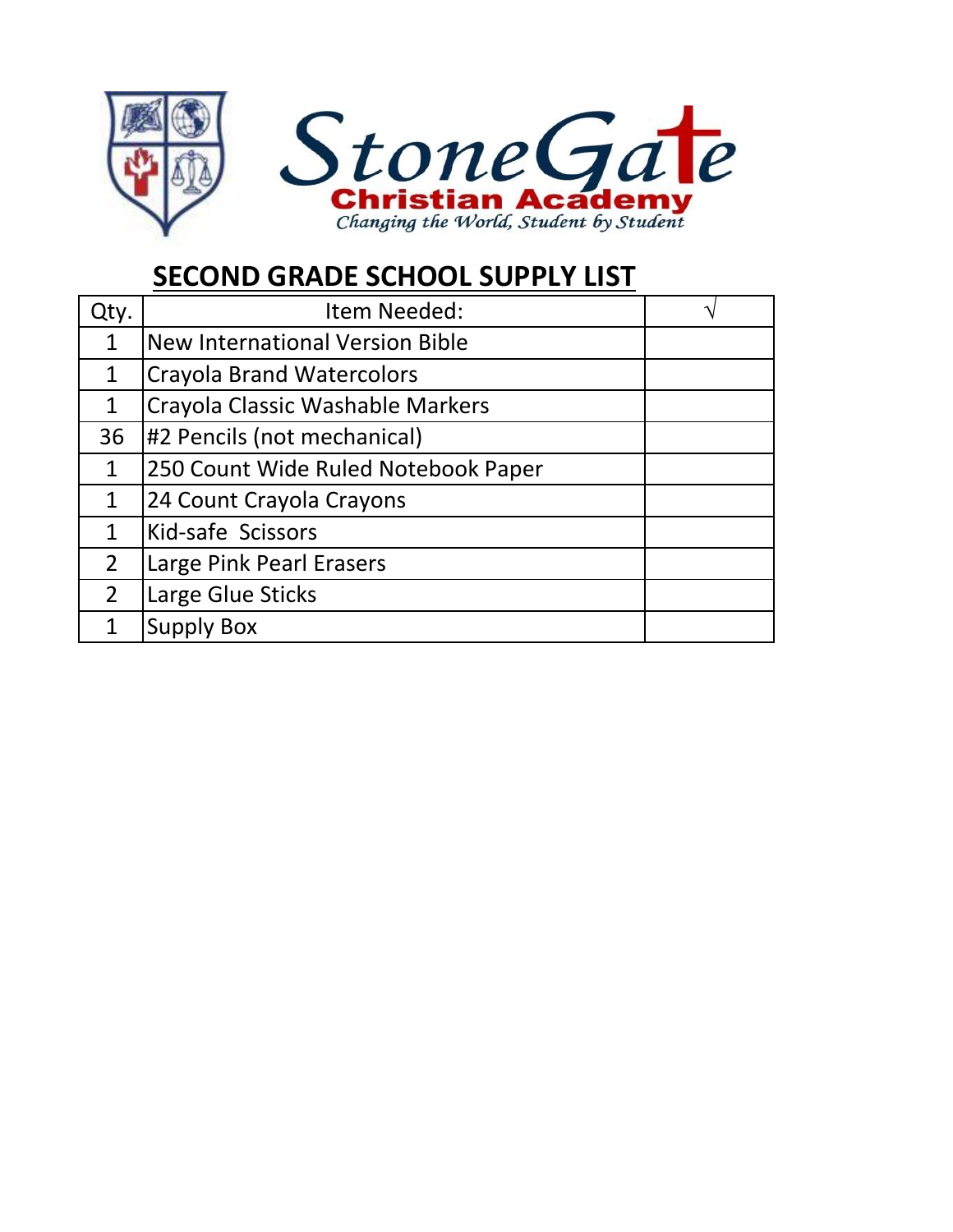

### **SECOND GRADE SCHOOL SUPPLY LIST**

| Qty.           | Item Needed:                            |  |
|----------------|-----------------------------------------|--|
| $\mathbf{1}$   | <b>New International Version Bible</b>  |  |
| $\mathbf{1}$   | <b>Crayola Brand Watercolors</b>        |  |
| $\mathbf{1}$   | <b>Crayola Classic Washable Markers</b> |  |
| 36             | #2 Pencils (not mechanical)             |  |
| $\mathbf{1}$   | 250 Count Wide Ruled Notebook Paper     |  |
| $\mathbf{1}$   | 24 Count Crayola Crayons                |  |
| 1              | Kid-safe Scissors                       |  |
| $\overline{2}$ | Large Pink Pearl Erasers                |  |
| $\overline{2}$ | Large Glue Sticks                       |  |
|                | Supply Box                              |  |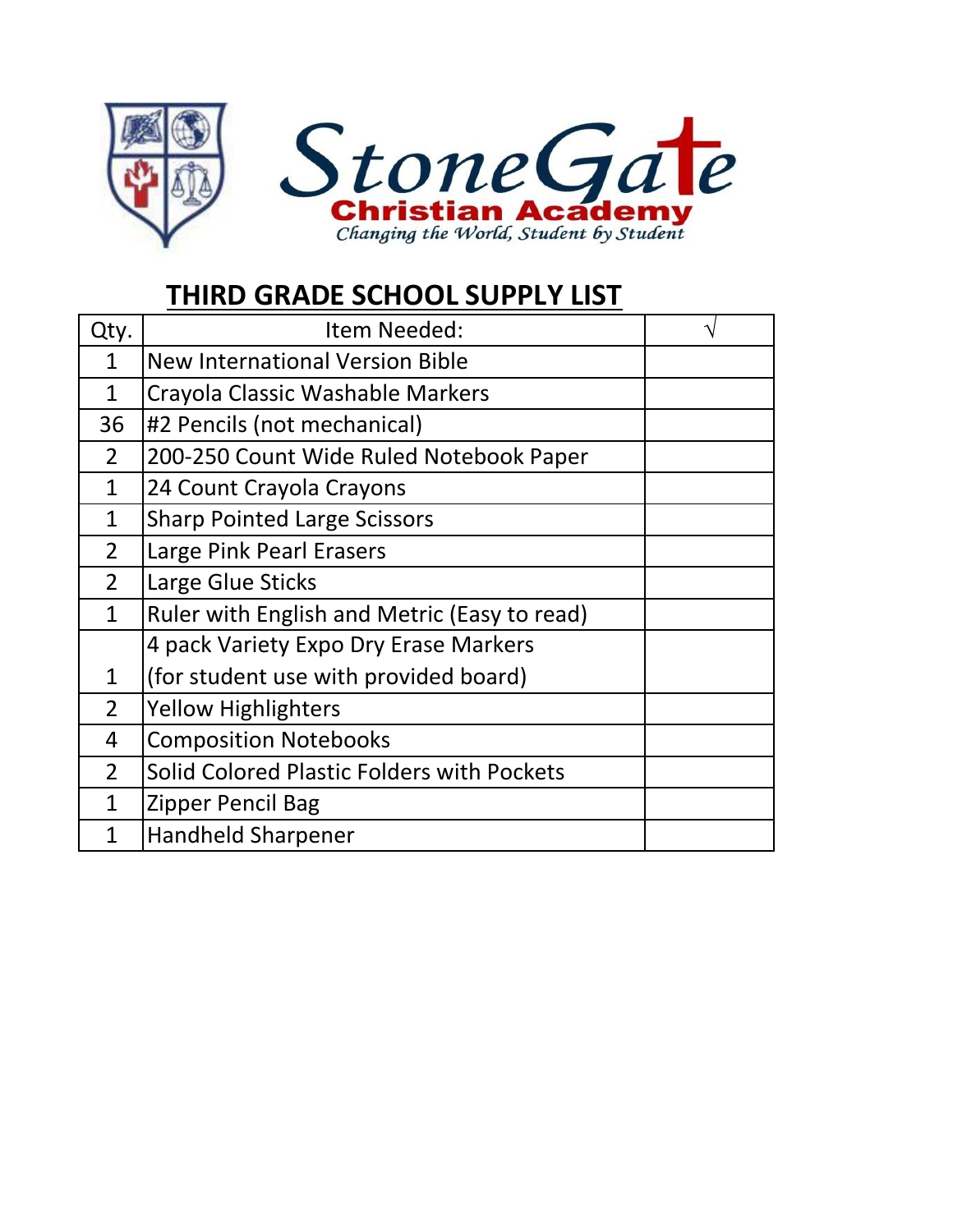

## **THIRD GRADE SCHOOL SUPPLY LIST**

| Qty.           | Item Needed:                                 |  |
|----------------|----------------------------------------------|--|
| $\mathbf{1}$   | <b>New International Version Bible</b>       |  |
| 1              | Crayola Classic Washable Markers             |  |
| 36             | #2 Pencils (not mechanical)                  |  |
| $\overline{2}$ | 200-250 Count Wide Ruled Notebook Paper      |  |
| 1              | 24 Count Crayola Crayons                     |  |
| $\mathbf{1}$   | <b>Sharp Pointed Large Scissors</b>          |  |
| $\overline{2}$ | Large Pink Pearl Erasers                     |  |
| $\overline{2}$ | Large Glue Sticks                            |  |
| $\mathbf{1}$   | Ruler with English and Metric (Easy to read) |  |
|                | 4 pack Variety Expo Dry Erase Markers        |  |
| 1              | (for student use with provided board)        |  |
| $\overline{2}$ | <b>Yellow Highlighters</b>                   |  |
| 4              | <b>Composition Notebooks</b>                 |  |
| $\overline{2}$ | Solid Colored Plastic Folders with Pockets   |  |
| 1              | <b>Zipper Pencil Bag</b>                     |  |
| 1              | <b>Handheld Sharpener</b>                    |  |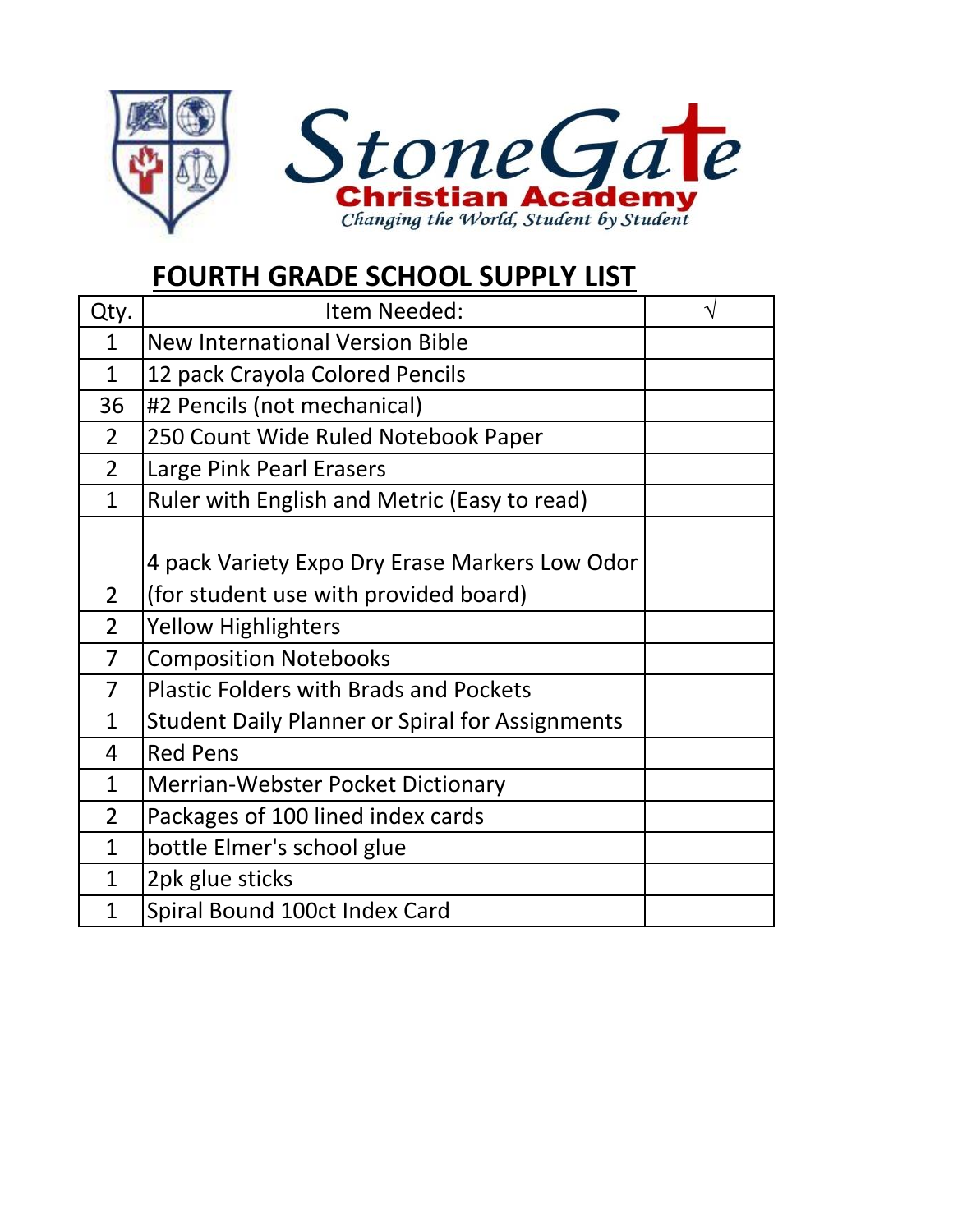

## **FOURTH GRADE SCHOOL SUPPLY LIST**

| Qty.           | Item Needed:                                           |  |
|----------------|--------------------------------------------------------|--|
| $\mathbf{1}$   | <b>New International Version Bible</b>                 |  |
| $\mathbf{1}$   | 12 pack Crayola Colored Pencils                        |  |
| 36             | #2 Pencils (not mechanical)                            |  |
| $\overline{2}$ | 250 Count Wide Ruled Notebook Paper                    |  |
| $\overline{2}$ | Large Pink Pearl Erasers                               |  |
| $\mathbf{1}$   | Ruler with English and Metric (Easy to read)           |  |
|                |                                                        |  |
|                | 4 pack Variety Expo Dry Erase Markers Low Odor         |  |
| $\overline{2}$ | (for student use with provided board)                  |  |
| $\overline{2}$ | <b>Yellow Highlighters</b>                             |  |
| $\overline{7}$ | <b>Composition Notebooks</b>                           |  |
| $\overline{7}$ | <b>Plastic Folders with Brads and Pockets</b>          |  |
| $\mathbf{1}$   | <b>Student Daily Planner or Spiral for Assignments</b> |  |
| 4              | <b>Red Pens</b>                                        |  |
| $\mathbf{1}$   | <b>Merrian-Webster Pocket Dictionary</b>               |  |
| $\overline{2}$ | Packages of 100 lined index cards                      |  |
| $\mathbf{1}$   | bottle Elmer's school glue                             |  |
| $\mathbf{1}$   | 2pk glue sticks                                        |  |
| $\mathbf{1}$   | Spiral Bound 100ct Index Card                          |  |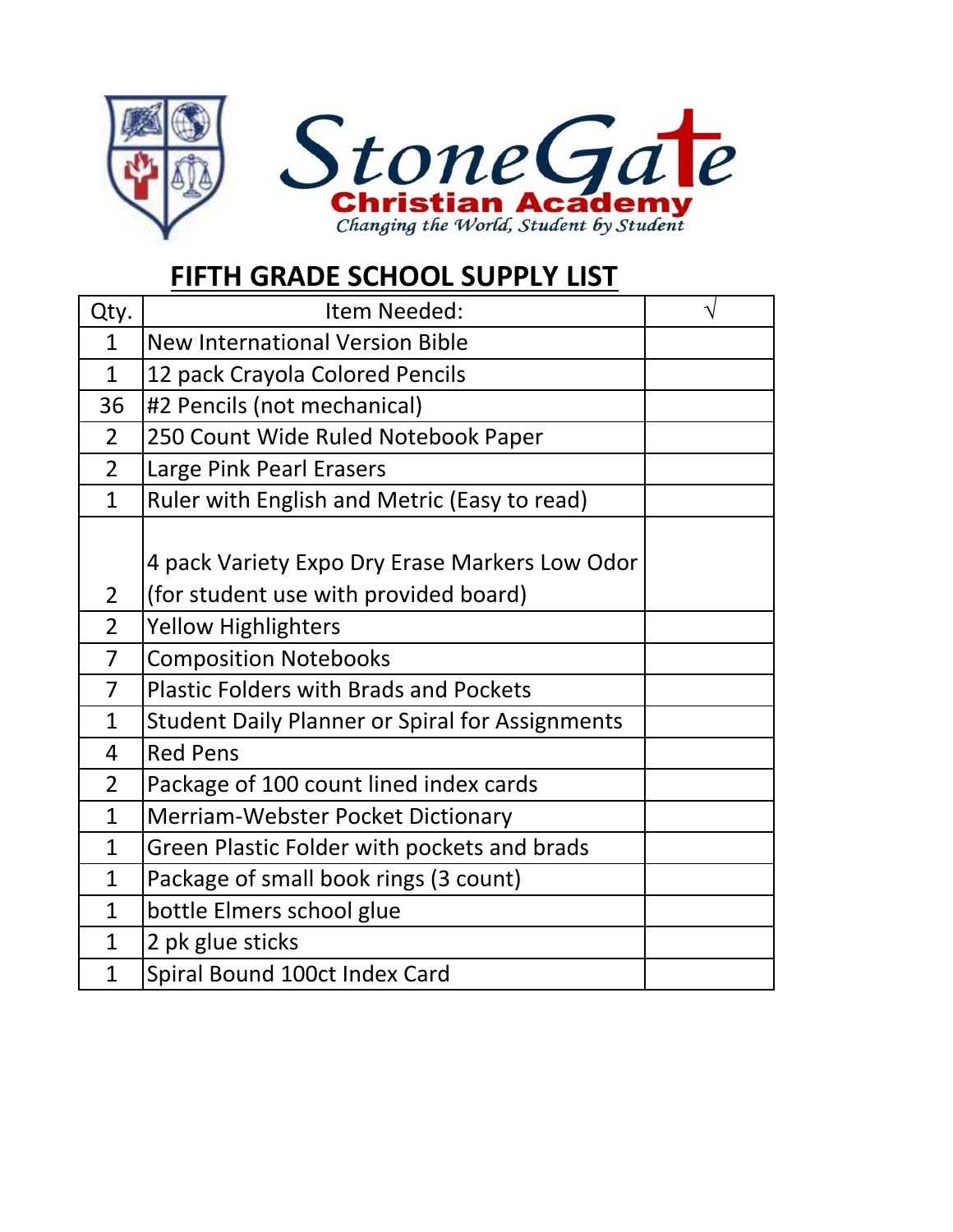

## **FIFTH GRADE SCHOOL SUPPLY LIST**

| Qty.           | Item Needed:                                           |  |
|----------------|--------------------------------------------------------|--|
| $\mathbf{1}$   | <b>New International Version Bible</b>                 |  |
| $\mathbf{1}$   | 12 pack Crayola Colored Pencils                        |  |
| 36             | #2 Pencils (not mechanical)                            |  |
| $\overline{2}$ | 250 Count Wide Ruled Notebook Paper                    |  |
| $\overline{2}$ | Large Pink Pearl Erasers                               |  |
| $\mathbf{1}$   | Ruler with English and Metric (Easy to read)           |  |
|                |                                                        |  |
|                | 4 pack Variety Expo Dry Erase Markers Low Odor         |  |
| $\overline{2}$ | (for student use with provided board)                  |  |
| $\overline{2}$ | <b>Yellow Highlighters</b>                             |  |
| $\overline{7}$ | <b>Composition Notebooks</b>                           |  |
| $\overline{7}$ | <b>Plastic Folders with Brads and Pockets</b>          |  |
| $\mathbf{1}$   | <b>Student Daily Planner or Spiral for Assignments</b> |  |
| 4              | <b>Red Pens</b>                                        |  |
| $\overline{2}$ | Package of 100 count lined index cards                 |  |
| $\mathbf{1}$   | Merriam-Webster Pocket Dictionary                      |  |
| $\mathbf{1}$   | Green Plastic Folder with pockets and brads            |  |
| $\mathbf{1}$   | Package of small book rings (3 count)                  |  |
| $\mathbf{1}$   | bottle Elmers school glue                              |  |
| $\mathbf{1}$   | 2 pk glue sticks                                       |  |
| $\overline{1}$ | Spiral Bound 100ct Index Card                          |  |